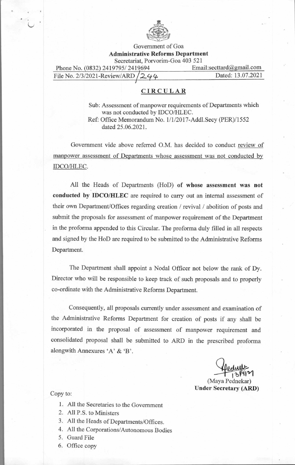

Government of Goa **Administrative Reforms Department**  Secretariat, Porvorim-Goa 403 521

| Phone No. (0832) 2419795/2419694    | Email:secttard@gmail.com |
|-------------------------------------|--------------------------|
| File No. 2/3/2021-Review/ARD $/244$ | Dated: 13.07.2021        |

## **CIRCULAR**

Sub: Assessment of manpower requirements of Departments which was not conducted by IDCO/HLEC. Ref: Office Memorandum No. 1/1/2017-Addl.Secy (PER)/1552 dated 25.06.2021.

Government vide above referred O.M. has decided to conduct review of manpower assessment of Departments whose assessment was not conducted by IDCO/HLEC.

All the Heads of Departments (HoD) **of whose assessment was not conducted by IDCO/HLEC** are required to carry out an internal assessment of their own Department/Offices regarding creation / revival / abolition of posts and submit the proposals for assessment of manpower requirement of the Department in the proforma appended to this Circular. The proforma duly filled in all respects and signed by the HoD are required to be submitted to the Administrative Reforms Department.

The Department shall appoint a Nodal Officer not below the rank of Dy. Director who will be responsible to keep track of such proposals and to properly co-ordinate with the Administrative Reforms Department.

Consequently, all proposals currently under assessment and examination of the Administrative Reforms Department for creation of posts if any shall be incorporated in the proposal of assessment of manpower requirement and consolidated proposal shall be submitted to ARD in the prescribed proforma alongwith Annexures 'A' & 'B'.

*\*JAIL* 

(Maya Pednekar) **Under Secretary (ARD)** 

## Copy to:

- 1. All the Secretaries to the Government
- 2. All P.S. to Ministers
- 3. All the Heads of Departments/Offices.
- 4. All the Corporations/Autonomous Bodies
- 5. Guard File
- 6. Office copy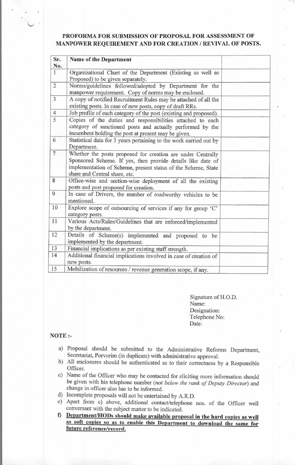## **PROFORMA FOR SUBMISSION OF PROPOSAL FOR ASSESSMENT OF MANPOWER REQUIREMENT AND FOR CREATION / REVIVAL OF POSTS.**

| Sr.<br>No.     | <b>Name of the Department</b>                                                                                                                                                                                                |  |
|----------------|------------------------------------------------------------------------------------------------------------------------------------------------------------------------------------------------------------------------------|--|
| $\mathbf{1}$   | Organizational Chart of the Department (Existing as well as<br>Proposed) to be given separately.                                                                                                                             |  |
| $\overline{c}$ | Norms/guidelines followed/adopted by Department for the<br>manpower requirement. Copy of norms may be enclosed.                                                                                                              |  |
| $\overline{3}$ | A copy of notified Recruitment Rules may be attached of all the<br>existing posts. In case of new posts, copy of draft RRs.                                                                                                  |  |
| $\overline{4}$ | Job profile of each category of the post (existing and proposed).                                                                                                                                                            |  |
| $\overline{5}$ | Copies of the duties and responsibilities attached to each<br>category of sanctioned posts and actually performed by the<br>incumbent holding the post at present may be given.                                              |  |
| 6              | Statistical data for 3 years pertaining to the work carried out by<br>Department.                                                                                                                                            |  |
| $\overline{7}$ | Whether the posts proposed for creation are under Centrally<br>Sponsored Scheme. If yes, then provide details like date of<br>implementation of Scheme, present status of the Scheme, State<br>share and Central share, etc. |  |
| 8              | Office-wise and section-wise deployment of all the existing<br>posts and post proposed for creation.                                                                                                                         |  |
| 9              | In case of Drivers, the number of roadworthy vehicles to be<br>mentioned.                                                                                                                                                    |  |
| 10             | Explore scope of outsourcing of services if any for group 'C'<br>category posts.                                                                                                                                             |  |
| 11             | Various Acts/Rules/Guidelines that are enforced/implemented<br>by the department.                                                                                                                                            |  |
| 12             | Details of Scheme(s) implemented and proposed to be<br>implemented by the department.                                                                                                                                        |  |
| 13             | Financial implications as per existing staff strength.                                                                                                                                                                       |  |
| 14             | Additional financial implications involved in case of creation of<br>new posts.                                                                                                                                              |  |
| 15             | Mobilization of resources / revenue generation scope, if any.                                                                                                                                                                |  |

Signature of H.O.D. Name: Designation: Telephone No: Date:

## **NOTE :-**

- a) Proposal should be submitted to the Administrative Reforms Department, Secretariat, Porvorim (in duplicate) with administrative approval.
- b) All enclosures should be authenticated as to their correctness by a Responsible Officer.
- c) Name of the Officer who may be contacted for eliciting more information should be given with his telephone number *(not below the rank of Deputy Director)* and change in officer also has to be informed.
- d) Incomplete proposals will not be entertained by A.R.D.
- e) Apart from c) above, additional contact/telephone nos. of the Officer well conversant with the subject matter to be indicated.
- **Department/HODs should make available proposal in the hard copies as well as soft copies so as to enable this Department to download the same for future reference/record.**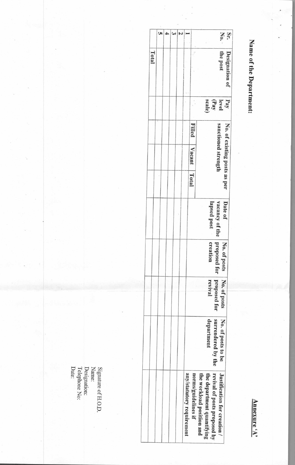Name of the Department:

Annexure 'A'

|       |  |  |                           |                     | $\mathop{\rm St}\nolimits$ .                                                                                            |
|-------|--|--|---------------------------|---------------------|-------------------------------------------------------------------------------------------------------------------------|
| Total |  |  |                           |                     | Designation of<br>the post                                                                                              |
|       |  |  |                           |                     | (Pay<br>scale)<br>Pay<br>level                                                                                          |
|       |  |  |                           | <b>Filled</b>       |                                                                                                                         |
|       |  |  |                           | Vacant              | No. of existing posts as per<br>sanctioned strength                                                                     |
|       |  |  |                           | Total               |                                                                                                                         |
|       |  |  |                           |                     | Date of<br>vacancy of the<br>lapsed post                                                                                |
|       |  |  |                           |                     | proposed for<br>No. of posts<br>creation                                                                                |
|       |  |  |                           |                     | proposed for<br>No. of posts<br>revival                                                                                 |
|       |  |  |                           |                     | surrendered by the<br>No. of posts to be<br>department                                                                  |
|       |  |  | any/statutory requirement | norms/guidelines if | revival of posts proposed by<br>Justification for creation /<br>the workload position and<br>the department quantifying |

Signature of H.O.D.<br>Name:<br>Designation:<br>Telephone No:<br>Date: